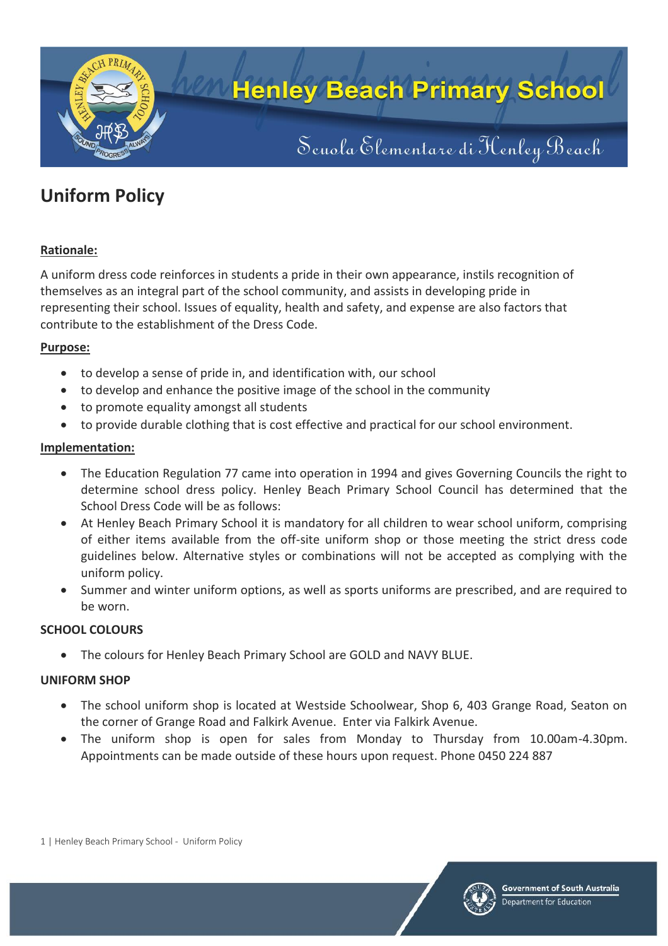

## **Henley Beach Primary School**

# Seuola Elementare di Kenley Beach

### **Uniform Policy**

#### **Rationale:**

A uniform dress code reinforces in students a pride in their own appearance, instils recognition of themselves as an integral part of the school community, and assists in developing pride in representing their school. Issues of equality, health and safety, and expense are also factors that contribute to the establishment of the Dress Code.

#### **Purpose:**

- to develop a sense of pride in, and identification with, our school
- to develop and enhance the positive image of the school in the community
- to promote equality amongst all students
- to provide durable clothing that is cost effective and practical for our school environment.

#### **Implementation:**

- The Education Regulation 77 came into operation in 1994 and gives Governing Councils the right to determine school dress policy. Henley Beach Primary School Council has determined that the School Dress Code will be as follows:
- At Henley Beach Primary School it is mandatory for all children to wear school uniform, comprising of either items available from the off-site uniform shop or those meeting the strict dress code guidelines below. Alternative styles or combinations will not be accepted as complying with the uniform policy.
- Summer and winter uniform options, as well as sports uniforms are prescribed, and are required to be worn.

#### **SCHOOL COLOURS**

The colours for Henley Beach Primary School are GOLD and NAVY BLUE.

#### **UNIFORM SHOP**

- The school uniform shop is located at Westside Schoolwear, Shop 6, 403 Grange Road, Seaton on the corner of Grange Road and Falkirk Avenue. Enter via Falkirk Avenue.
- The uniform shop is open for sales from Monday to Thursday from 10.00am-4.30pm. Appointments can be made outside of these hours upon request. Phone 0450 224 887

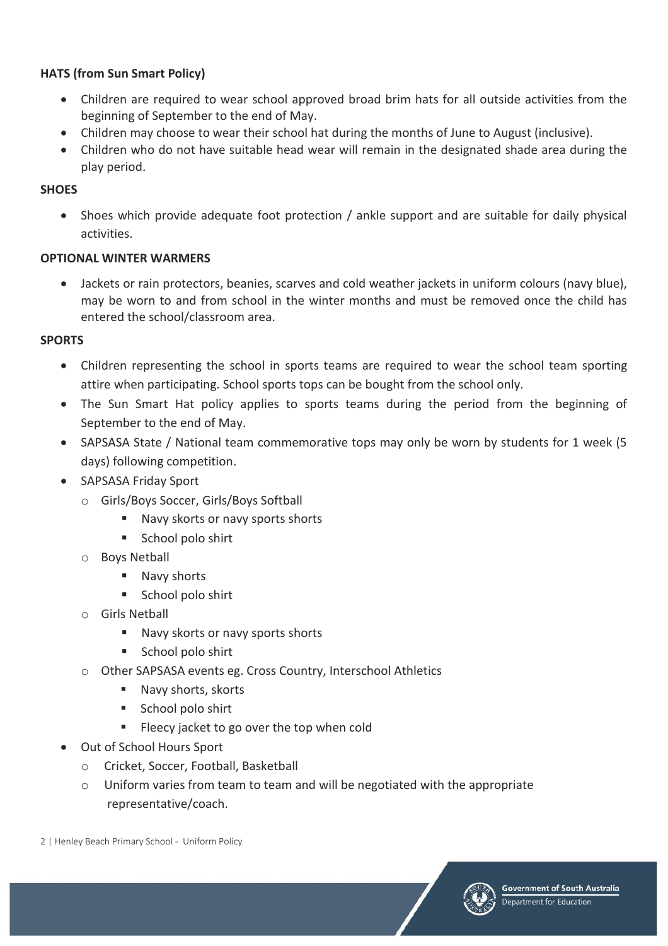#### **HATS (from Sun Smart Policy)**

- Children are required to wear school approved broad brim hats for all outside activities from the beginning of September to the end of May.
- Children may choose to wear their school hat during the months of June to August (inclusive).
- Children who do not have suitable head wear will remain in the designated shade area during the play period.

#### **SHOES**

 Shoes which provide adequate foot protection / ankle support and are suitable for daily physical activities.

#### **OPTIONAL WINTER WARMERS**

 Jackets or rain protectors, beanies, scarves and cold weather jackets in uniform colours (navy blue), may be worn to and from school in the winter months and must be removed once the child has entered the school/classroom area.

#### **SPORTS**

- Children representing the school in sports teams are required to wear the school team sporting attire when participating. School sports tops can be bought from the school only.
- The Sun Smart Hat policy applies to sports teams during the period from the beginning of September to the end of May.
- SAPSASA State / National team commemorative tops may only be worn by students for 1 week (5 days) following competition.
- SAPSASA Friday Sport
	- o Girls/Boys Soccer, Girls/Boys Softball
		- Navy skorts or navy sports shorts
		- School polo shirt
	- o Boys Netball
		- Navy shorts
		- School polo shirt
	- o Girls Netball
		- Navy skorts or navy sports shorts
		- School polo shirt
	- o Other SAPSASA events eg. Cross Country, Interschool Athletics
		- Navy shorts, skorts
		- School polo shirt
		- **Fileecy jacket to go over the top when cold**
- Out of School Hours Sport
	- o Cricket, Soccer, Football, Basketball
	- $\circ$  Uniform varies from team to team and will be negotiated with the appropriate representative/coach.